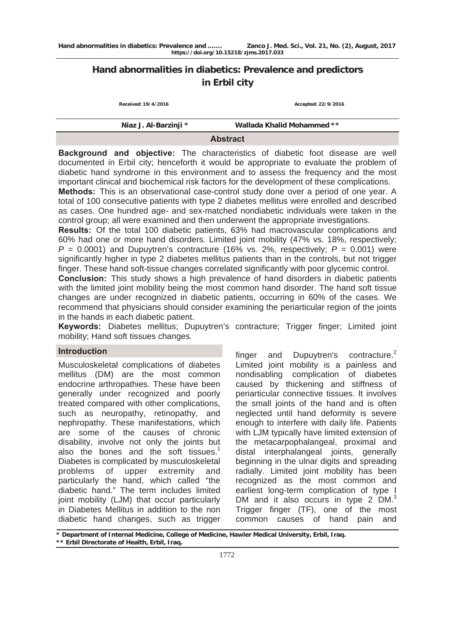# **Hand abnormalities in diabetics: Prevalence and predictors in Erbil city**

| Received: 19/4/2016   | Accepted: 22/9/2016        |
|-----------------------|----------------------------|
| Niaz J. Al-Barzinji * | Wallada Khalid Mohammed ** |

**Abstract** 

**Background and objective:** The characteristics of diabetic foot disease are well documented in Erbil city; henceforth it would be appropriate to evaluate the problem of diabetic hand syndrome in this environment and to assess the frequency and the most important clinical and biochemical risk factors for the development of these complications.

**Methods:** This is an observational case-control study done over a period of one year. A total of 100 consecutive patients with type 2 diabetes mellitus were enrolled and described as cases. One hundred age- and sex-matched nondiabetic individuals were taken in the control group; all were examined and then underwent the appropriate investigations.

**Results:** Of the total 100 diabetic patients, 63% had macrovascular complications and 60% had one or more hand disorders. Limited joint mobility (47% vs. 18%, respectively;  $P = 0.0001$ ) and Dupuytren's contracture (16% vs. 2%, respectively;  $P = 0.001$ ) were significantly higher in type 2 diabetes mellitus patients than in the controls, but not trigger finger. These hand soft-tissue changes correlated significantly with poor glycemic control.

**Conclusion:** This study shows a high prevalence of hand disorders in diabetic patients with the limited joint mobility being the most common hand disorder. The hand soft tissue changes are under recognized in diabetic patients, occurring in 60% of the cases. We recommend that physicians should consider examining the periarticular region of the joints in the hands in each diabetic patient.

**Keywords:** Diabetes mellitus; Dupuytren's contracture; Trigger finger; Limited joint mobility; Hand soft tissues changes.

#### **Introduction**

Musculoskeletal complications of diabetes mellitus (DM) are the most common endocrine arthropathies. These have been generally under recognized and poorly treated compared with other complications, such as neuropathy, retinopathy, and nephropathy. These manifestations, which are some of the causes of chronic disability, involve not only the joints but also the bones and the soft tissues.<sup>1</sup> Diabetes is complicated by musculoskeletal problems of upper extremity and particularly the hand, which called "the diabetic hand." The term includes limited joint mobility (LJM) that occur particularly in Diabetes Mellitus in addition to the non diabetic hand changes, such as trigger

finger and Dupuytren's contracture.<sup>2</sup> Limited joint mobility is a painless and nondisabling complication of diabetes caused by thickening and stiffness of periarticular connective tissues. It involves the small joints of the hand and is often neglected until hand deformity is severe enough to interfere with daily life. Patients with LJM typically have limited extension of the metacarpophalangeal, proximal and distal interphalangeal joints, generally beginning in the ulnar digits and spreading radially. Limited joint mobility has been recognized as the most common and earliest long-term complication of type I DM and it also occurs in type 2 DM.<sup>3</sup> Trigger finger (TF), one of the most common causes of hand pain and

**\* Department of Internal Medicine, College of Medicine, Hawler Medical University, Erbil, Iraq.** 

**\*\* Erbil Directorate of Health, Erbil, Iraq.**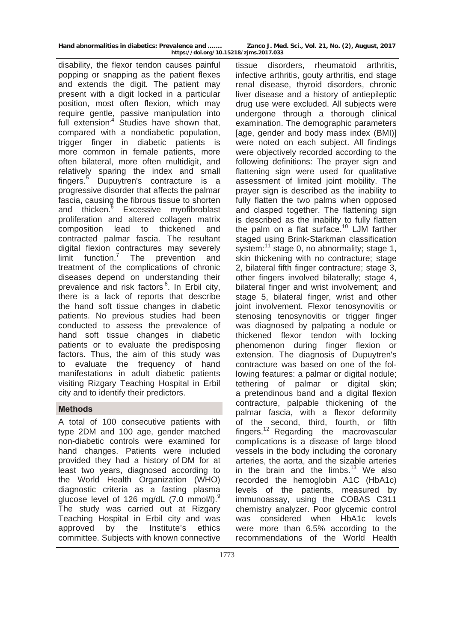**https://doi.org/10.15218/zjms.2017.033**

disability, the flexor tendon causes painful popping or snapping as the patient flexes and extends the digit. The patient may present with a digit locked in a particular position, most often flexion, which may require gentle, passive manipulation into full extension $4$  Studies have shown that, compared with a nondiabetic population, trigger finger in diabetic patients is more common in female patients, more often bilateral, more often multidigit, and relatively sparing the index and small fingers.<sup>5</sup> Dupuytren's contracture is a progressive disorder that affects the palmar fascia, causing the fibrous tissue to shorten and thicken.<sup>6</sup> Excessive myofibroblast proliferation and altered collagen matrix composition lead to thickened and contracted palmar fascia. The resultant digital flexion contractures may severely limit function. $<sup>7</sup>$ </sup> The prevention and treatment of the complications of chronic diseases depend on understanding their prevalence and risk factors<sup>8</sup>. In Erbil city, there is a lack of reports that describe the hand soft tissue changes in diabetic patients. No previous studies had been conducted to assess the prevalence of hand soft tissue changes in diabetic patients or to evaluate the predisposing factors. Thus, the aim of this study was to evaluate the frequency of hand manifestations in adult diabetic patients visiting Rizgary Teaching Hospital in Erbil city and to identify their predictors.

## **Methods**

A total of 100 consecutive patients with type 2DM and 100 age, gender matched non-diabetic controls were examined for hand changes. Patients were included provided they had a history of DM for at least two years, diagnosed according to the World Health Organization (WHO) diagnostic criteria as a fasting plasma glucose level of 126 mg/dL (7.0 mmol/l).<sup>9</sup> The study was carried out at Rizgary Teaching Hospital in Erbil city and was approved by the Institute's ethics committee. Subjects with known connective

tissue disorders, rheumatoid arthritis, infective arthritis, gouty arthritis, end stage renal disease, thyroid disorders, chronic liver disease and a history of antiepileptic drug use were excluded. All subjects were undergone through a thorough clinical examination. The demographic parameters [age, gender and body mass index (BMI)] were noted on each subject. All findings were objectively recorded according to the following definitions: The prayer sign and flattening sign were used for qualitative assessment of limited joint mobility. The prayer sign is described as the inability to fully flatten the two palms when opposed and clasped together. The flattening sign is described as the inability to fully flatten the palm on a flat surface.<sup>10</sup> LJM farther staged using Brink-Starkman classification system:<sup>11</sup> stage 0, no abnormality; stage 1, skin thickening with no contracture; stage 2, bilateral fifth finger contracture; stage 3, other fingers involved bilaterally; stage 4, bilateral finger and wrist involvement; and stage 5, bilateral finger, wrist and other joint involvement. Flexor tenosynovitis or stenosing tenosynovitis or trigger finger was diagnosed by palpating a nodule or thickened flexor tendon with locking phenomenon during finger flexion or extension. The diagnosis of Dupuytren's contracture was based on one of the following features: a palmar or digital nodule; tethering of palmar or digital skin; a pretendinous band and a digital flexion contracture, palpable thickening of the palmar fascia, with a flexor deformity of the second, third, fourth, or fifth fingers.12 Regarding the macrovascular complications is a disease of large [blood](https://en.wikipedia.org/wiki/Blood_vessel)  [vessels](https://en.wikipedia.org/wiki/Blood_vessel) in the body including the coronary arteries, the aorta, and the sizable arteries in the brain and the limbs. $13$  We also recorded the hemoglobin A1C (HbA1c) levels of the patients, measured by immunoassay, using the COBAS C311 chemistry analyzer. Poor glycemic control was considered when HbA1c levels were more than 6.5% according to the recommendations of the World Health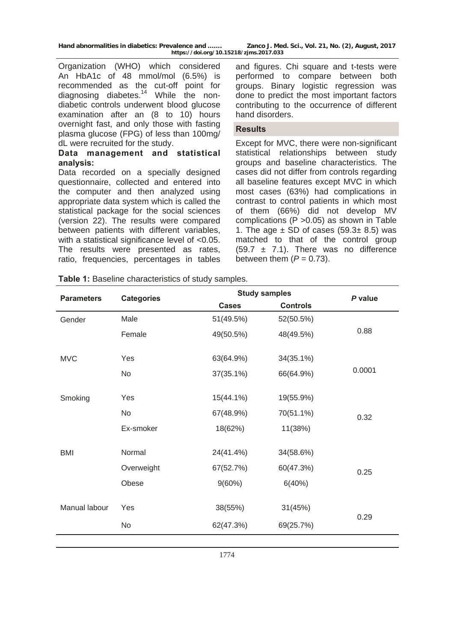| Hand abnormalities in diabetics: Prevalence and | Zanco J. Med. Sci., Vol. 21, No. (2), August, 2017 |
|-------------------------------------------------|----------------------------------------------------|
| https://doi.org/10.15218/zjms.2017.033          |                                                    |

Organization (WHO) which considered An HbA1c of 48 mmol/mol (6.5%) is recommended as the cut-off point for diagnosing diabetes.<sup>14</sup> While the nondiabetic controls underwent blood glucose examination after an (8 to 10) hours overnight fast, and only those with fasting plasma glucose (FPG) of less than 100mg/ dL were recruited for the study.

#### **Data management and statistical analysis:**

Data recorded on a specially designed questionnaire, collected and entered into the computer and then analyzed using appropriate data system which is called the statistical package for the social sciences (version 22). The results were compared between patients with different variables, with a statistical significance level of  $< 0.05$ . The results were presented as rates, ratio, frequencies, percentages in tables

and figures. Chi square and t-tests were performed to compare between both groups. Binary logistic regression was done to predict the most important factors contributing to the occurrence of different hand disorders.

## **Results**

Except for MVC, there were non-significant statistical relationships between study groups and baseline characteristics. The cases did not differ from controls regarding all baseline features except MVC in which most cases (63%) had complications in contrast to control patients in which most of them (66%) did not develop MV complications (P >0.05) as shown in Table 1. The age  $\pm$  SD of cases (59.3 $\pm$  8.5) was matched to that of the control group  $(59.7 \pm 7.1)$ . There was no difference between them  $(P = 0.73)$ .

| <b>Parameters</b> | <b>Categories</b> | <b>Study samples</b> |                 | P value |
|-------------------|-------------------|----------------------|-----------------|---------|
|                   |                   | <b>Cases</b>         | <b>Controls</b> |         |
| Gender            | Male              | 51(49.5%)            | 52(50.5%)       |         |
|                   | Female            | 49(50.5%)            | 48(49.5%)       | 0.88    |
| <b>MVC</b>        | Yes               | 63(64.9%)            | 34(35.1%)       |         |
|                   | No                | $37(35.1\%)$         | 66(64.9%)       | 0.0001  |
| Smoking           | Yes               | 15(44.1%)            | 19(55.9%)       |         |
|                   | No                | 67(48.9%)            | 70(51.1%)       | 0.32    |
|                   | Ex-smoker         | 18(62%)              | 11(38%)         |         |
| <b>BMI</b>        | Normal            | 24(41.4%)            | 34(58.6%)       |         |
|                   | Overweight        | 67(52.7%)            | 60(47.3%)       | 0.25    |
|                   | Obese             | 9(60%)               | 6(40%)          |         |
| Manual labour     | Yes               | 38(55%)              | 31(45%)         |         |
|                   | No                | 62(47.3%)            | 69(25.7%)       | 0.29    |
|                   |                   |                      |                 |         |

**Table 1:** Baseline characteristics of study samples.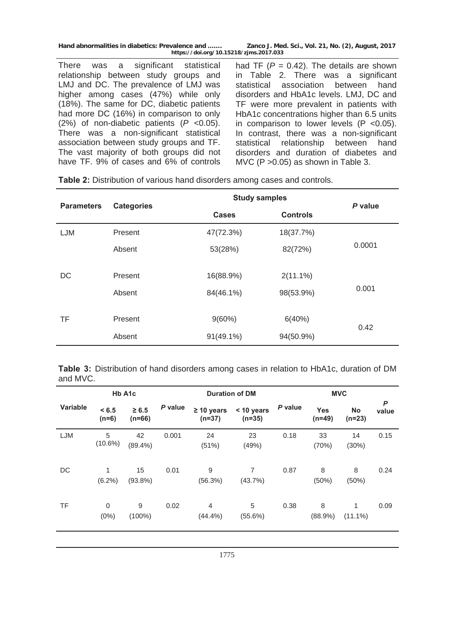There was a significant statistical relationship between study groups and LMJ and DC. The prevalence of LMJ was higher among cases (47%) while only (18%). The same for DC, diabetic patients had more DC (16%) in comparison to only (2%) of non-diabetic patients (*P* <0.05). There was a non-significant statistical association between study groups and TF. The vast majority of both groups did not have TF. 9% of cases and 6% of controls

had TF  $(P = 0.42)$ . The details are shown in Table 2. There was a significant statistical association between hand disorders and HbA1c levels. LMJ, DC and TF were more prevalent in patients with HbA1c concentrations higher than 6.5 units in comparison to lower levels (P <0.05). In contrast, there was a non-significant statistical relationship between hand disorders and duration of diabetes and MVC (P >0.05) as shown in Table 3.

| <b>Parameters</b> | <b>Categories</b> | <b>Study samples</b> |                 | P value |  |
|-------------------|-------------------|----------------------|-----------------|---------|--|
|                   |                   | <b>Cases</b>         | <b>Controls</b> |         |  |
| LJM               | Present           | 47(72.3%)            | 18(37.7%)       |         |  |
|                   | Absent            | 53(28%)              | 82(72%)         | 0.0001  |  |
| DC                | Present           | 16(88.9%)            | $2(11.1\%)$     |         |  |
|                   | Absent            | 84(46.1%)            | 98(53.9%)       | 0.001   |  |
| <b>TF</b>         | Present           | $9(60\%)$            | 6(40%)          | 0.42    |  |
|                   | Absent            | $91(49.1\%)$         | 94(50.9%)       |         |  |

**Table 2:** Distribution of various hand disorders among cases and controls.

|          | Table 3: Distribution of hand disorders among cases in relation to HbA1c, duration of DM |  |  |  |  |  |  |
|----------|------------------------------------------------------------------------------------------|--|--|--|--|--|--|
| and MVC. |                                                                                          |  |  |  |  |  |  |

|                 | Hb A1c<br><b>Duration of DM</b> |                        |         |                             |                           |         |                        |                       |            |
|-----------------|---------------------------------|------------------------|---------|-----------------------------|---------------------------|---------|------------------------|-----------------------|------------|
| <b>Variable</b> | < 6.5<br>$(n=6)$                | $\geq 6.5$<br>$(n=66)$ | P value | $\geq 10$ years<br>$(n=37)$ | < 10 years<br>$(n=35)$    | P value | <b>Yes</b><br>$(n=49)$ | <b>No</b><br>$(n=23)$ | P<br>value |
| LJM             | 5<br>$(10.6\%)$                 | 42<br>$(89.4\%)$       | 0.001   | 24<br>(51%)                 | 23<br>(49%)               | 0.18    | 33<br>(70%)            | 14<br>(30%)           | 0.15       |
| DC              | 1<br>$(6.2\%)$                  | 15<br>$(93.8\%)$       | 0.01    | 9<br>(56.3%)                | $\overline{7}$<br>(43.7%) | 0.87    | 8<br>(50%)             | 8<br>(50%)            | 0.24       |
| <b>TF</b>       | 0<br>$(0\%)$                    | 9<br>$(100\%)$         | 0.02    | $\overline{4}$<br>(44.4%    | 5<br>$(55.6\%)$           | 0.38    | 8<br>$(88.9\%)$        | 1<br>$(11.1\%)$       | 0.09       |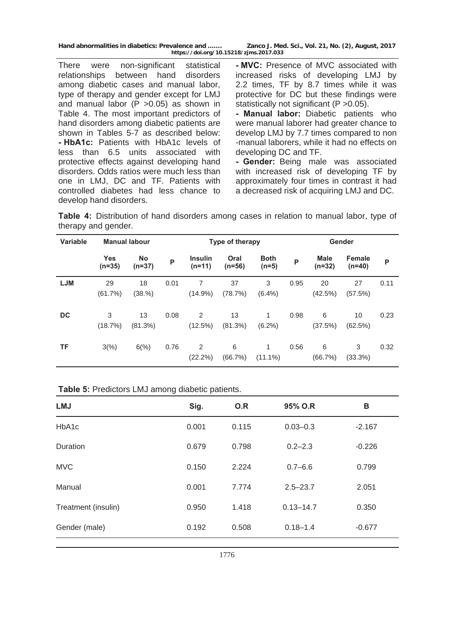There were non-significant statistical relationships between hand disorders among diabetic cases and manual labor, type of therapy and gender except for LMJ and manual labor  $(P > 0.05)$  as shown in Table 4. The most important predictors of hand disorders among diabetic patients are shown in Tables 5-7 as described below: **- HbA1c:** Patients with HbA1c levels of less than 6.5 units associated with protective effects against developing hand disorders. Odds ratios were much less than one in LMJ, DC and TF. Patients with controlled diabetes had less chance to develop hand disorders.

**- MVC:** Presence of MVC associated with increased risks of developing LMJ by 2.2 times, TF by 8.7 times while it was protective for DC but these findings were statistically not significant (P > 0.05).

**- Manual labor:** Diabetic patients who were manual laborer had greater chance to develop LMJ by 7.7 times compared to non -manual laborers, while it had no effects on developing DC and TF.

**- Gender:** Being male was associated with increased risk of developing TF by approximately four times in contrast it had a decreased risk of acquiring LMJ and DC.

**Table 4:** Distribution of hand disorders among cases in relation to manual labor, type of therapy and gender.

| <b>Variable</b> |                        | <b>Manual labour</b> |      | Type of therapy            |                  |                        | Gender |                         |                           |      |
|-----------------|------------------------|----------------------|------|----------------------------|------------------|------------------------|--------|-------------------------|---------------------------|------|
|                 | <b>Yes</b><br>$(n=35)$ | No<br>$(n=37)$       | P    | <b>Insulin</b><br>$(n=11)$ | Oral<br>$(n=56)$ | <b>Both</b><br>$(n=5)$ | P      | <b>Male</b><br>$(n=32)$ | <b>Female</b><br>$(n=40)$ | P    |
| <b>LJM</b>      | 29<br>(61.7%)          | 18<br>(38.%)         | 0.01 | 7<br>$(14.9\%)$            | 37<br>(78.7%)    | 3<br>$(6.4\%)$         | 0.95   | 20<br>(42.5%)           | 27<br>(57.5%)             | 0.11 |
| DC              | 3<br>(18.7%)           | 13<br>(81.3%)        | 0.08 | $\overline{2}$<br>(12.5%)  | 13<br>$(81.3\%)$ | 1<br>$(6.2\%)$         | 0.98   | 6<br>(37.5%)            | 10<br>(62.5%)             | 0.23 |
| ΤF              | 3(%)                   | 6(%)                 | 0.76 | $\overline{2}$<br>(22.2%)  | 6<br>(66.7%)     | 1<br>$(11.1\%)$        | 0.56   | 6<br>(66.7%)            | 3<br>(33.3%)              | 0.32 |

|  | <b>Table 5: Predictors LMJ among diabetic patients.</b> |  |  |
|--|---------------------------------------------------------|--|--|
|  |                                                         |  |  |

| <b>LMJ</b>          | Sig.  | O.R   | 95% O.R       | B        |
|---------------------|-------|-------|---------------|----------|
| HbA <sub>1</sub> c  | 0.001 | 0.115 | $0.03 - 0.3$  | $-2.167$ |
| <b>Duration</b>     | 0.679 | 0.798 | $0.2 - 2.3$   | $-0.226$ |
| <b>MVC</b>          | 0.150 | 2.224 | $0.7 - 6.6$   | 0.799    |
| Manual              | 0.001 | 7.774 | $2.5 - 23.7$  | 2.051    |
| Treatment (insulin) | 0.950 | 1.418 | $0.13 - 14.7$ | 0.350    |
| Gender (male)       | 0.192 | 0.508 | $0.18 - 1.4$  | $-0.677$ |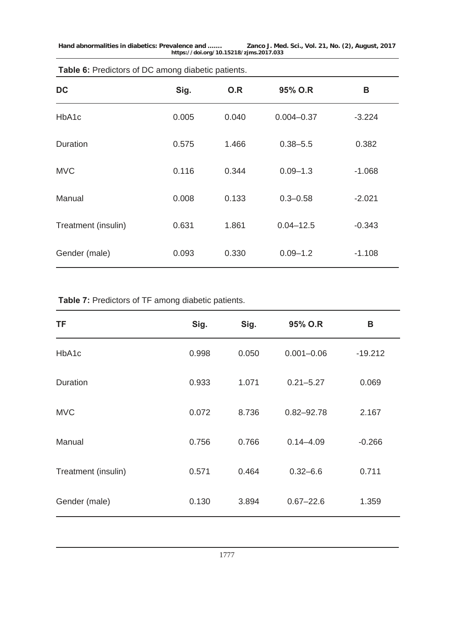| <b>Table 0.</b> I Tealolors of DO among alabolic patients. |       |       |                |          |  |  |  |
|------------------------------------------------------------|-------|-------|----------------|----------|--|--|--|
| <b>DC</b>                                                  | Sig.  | O.R   | 95% O.R        | B        |  |  |  |
| HbA1c                                                      | 0.005 | 0.040 | $0.004 - 0.37$ | $-3.224$ |  |  |  |
| <b>Duration</b>                                            | 0.575 | 1.466 | $0.38 - 5.5$   | 0.382    |  |  |  |
| <b>MVC</b>                                                 | 0.116 | 0.344 | $0.09 - 1.3$   | $-1.068$ |  |  |  |
| Manual                                                     | 0.008 | 0.133 | $0.3 - 0.58$   | $-2.021$ |  |  |  |
| Treatment (insulin)                                        | 0.631 | 1.861 | $0.04 - 12.5$  | $-0.343$ |  |  |  |
| Gender (male)                                              | 0.093 | 0.330 | $0.09 - 1.2$   | $-1.108$ |  |  |  |

#### **Table 6:** Predictors of DC among diabetic patients.

**Table 7:** Predictors of TF among diabetic patients.

| TF                  | Sig.  | Sig.  | 95% O.R        | В         |
|---------------------|-------|-------|----------------|-----------|
| HbA1c               | 0.998 | 0.050 | $0.001 - 0.06$ | $-19.212$ |
| Duration            | 0.933 | 1.071 | $0.21 - 5.27$  | 0.069     |
| <b>MVC</b>          | 0.072 | 8.736 | $0.82 - 92.78$ | 2.167     |
| Manual              | 0.756 | 0.766 | $0.14 - 4.09$  | $-0.266$  |
| Treatment (insulin) | 0.571 | 0.464 | $0.32 - 6.6$   | 0.711     |
| Gender (male)       | 0.130 | 3.894 | $0.67 - 22.6$  | 1.359     |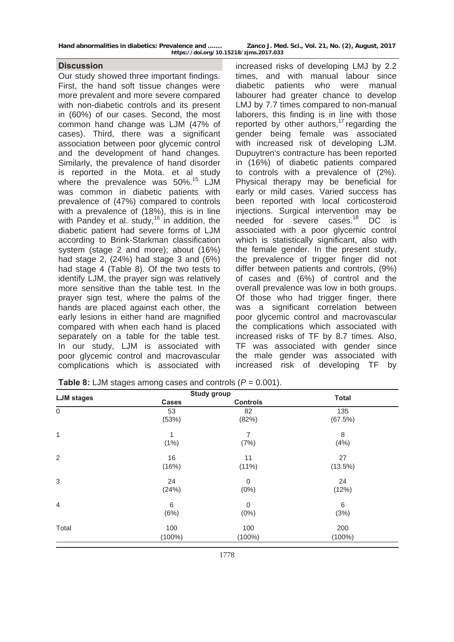| Hand abnormalities in diabetics: Prevalence and |                          | Zanco J. Me |
|-------------------------------------------------|--------------------------|-------------|
|                                                 | $\overline{\phantom{a}}$ | $\cdots$    |

#### **Discussion**

Our study showed three important findings. First, the hand soft tissue changes were more prevalent and more severe compared with non-diabetic controls and its present in (60%) of our cases. Second, the most common hand change was LJM (47% of cases). Third, there was a significant association between poor glycemic control and the development of hand changes. Similarly, the prevalence of hand disorder is reported in the Mota. et al study where the prevalence was 50%.<sup>15</sup> LJM was common in diabetic patients with prevalence of (47%) compared to controls with a prevalence of (18%), this is in line with Pandey et al. study,<sup>16 in</sup> addition, the diabetic patient had severe forms of LJM according to Brink-Starkman classification system (stage 2 and more); about (16%) had stage 2, (24%) had stage 3 and (6%) had stage 4 (Table 8). Of the two tests to identify LJM, the prayer sign was relatively more sensitive than the table test. In the prayer sign test, where the palms of the hands are placed against each other, the early lesions in either hand are magnified compared with when each hand is placed separately on a table for the table test. In our study, LJM is associated with poor glycemic control and macrovascular complications which is associated with increased risks of developing LMJ by 2.2 times, and with manual labour since diabetic patients who were manual labourer had greater chance to develop LMJ by 7.7 times compared to non-manual laborers, this finding is in line with those reported by other authors,<sup>17</sup> regarding the gender being female was associated with increased risk of developing LJM. Dupuytren's contracture has been reported in (16%) of diabetic patients compared to controls with a prevalence of (2%). Physical therapy may be beneficial for early or mild cases. Varied success has been reported with local corticosteroid injections. Surgical intervention may be needed for severe cases.<sup>18</sup> DC is associated with a poor glycemic control which is statistically significant, also with the female gender. In the present study, the prevalence of trigger finger did not differ between patients and controls, (9%) of cases and (6%) of control and the overall prevalence was low in both groups. Of those who had trigger finger, there was a significant correlation between poor glycemic control and macrovascular the complications which associated with increased risks of TF by 8.7 times. Also, TF was associated with gender since the male gender was associated with increased risk of developing TF by

| <b>LJM</b> stages | <b>Study group</b> |                 | <b>Total</b> |
|-------------------|--------------------|-----------------|--------------|
|                   | <b>Cases</b>       | <b>Controls</b> |              |
| $\mathsf 0$       | 53                 | 82              | 135          |
|                   | (53%)              | (82%)           | (67.5%)      |
| 1                 |                    | 7               | 8            |
|                   | (1% )              | (7%)            | (4% )        |
| $\overline{2}$    | 16                 | 11              | 27           |
|                   | (16%)              | (11%)           | (13.5%)      |
| 3                 | 24                 | 0               | 24           |
|                   | (24%)              | $(0\%)$         | (12%)        |
| $\overline{4}$    | 6                  | $\mathbf 0$     | 6            |
|                   | (6%)               | $(0\%)$         | (3%)         |
| Total             | 100                | 100             | 200          |
|                   | $(100\%)$          | $(100\%)$       | $(100\%)$    |

**Table 8:** LJM stages among cases and controls (*P* = 0.001).

**Hand abnormalities in diabetics: Prevalence and ……. Zanco J. Med. Sci., Vol. 21, No. (2), August, 2017 https://doi.org/10.15218/zjms.2017.033**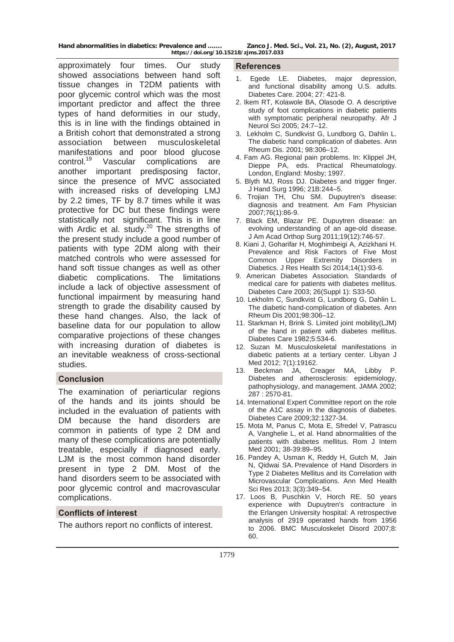approximately four times. Our study showed associations between hand soft tissue changes in T2DM patients with poor glycemic control which was the most important predictor and affect the three types of hand deformities in our study, this is in line with the findings obtained in a British cohort that demonstrated a strong association between musculoskeletal manifestations and poor blood glucose control.19 Vascular complications are another important predisposing factor, since the presence of MVC associated with increased risks of developing LMJ by 2.2 times, TF by 8.7 times while it was protective for DC but these findings were statistically not significant. This is in line with Ardic et al. study.<sup>20</sup> The strengths of the present study include a good number of patients with type 2DM along with their matched controls who were assessed for hand soft tissue changes as well as other diabetic complications. The limitations include a lack of objective assessment of functional impairment by measuring hand strength to grade the disability caused by these hand changes. Also, the lack of baseline data for our population to allow comparative projections of these changes with increasing duration of diabetes is an inevitable weakness of cross-sectional studies.

#### **Conclusion**

The examination of periarticular regions of the hands and its joints should be included in the evaluation of patients with DM because the hand disorders are common in patients of type 2 DM and many of these complications are potentially treatable, especially if diagnosed early. LJM is the most common hand disorder present in type 2 DM. Most of the hand disorders seem to be associated with poor glycemic control and macrovascular complications.

## **Conflicts of interest**

The authors report no conflicts of interest.

#### **References**

- 1. Egede LE. Diabetes, major depression, and functional disability among U.S. adults. Diabetes Care. 2004; 27: 421-8.
- 2. Ikem RT, Kolawole BA, Olasode O. A descriptive study of foot complications in diabetic patients with symptomatic peripheral neuropathy. Afr J Neurol Sci 2005; 24:7–12.
- 3. Lekholm C, Sundkvist G, Lundborg G, Dahlin L. The diabetic hand complication of diabetes. Ann Rheum Dis. 2001; 98:306–12.
- 4. Fam AG. Regional pain problems. In: Klippel JH, Dieppe PA, eds. Practical Rheumatology. London, England: Mosby; 1997.
- 5. Blyth MJ, Ross DJ. Diabetes and trigger finger. J Hand Surg 1996; 21B:244–5.
- 6. [Trojian TH, Chu SM](http://www.ncbi.nlm.nih.gov/entrez/query.fcgi?cmd=Retrieve&db=PubMed&dopt=Abstract&list_uids=17668844). Dupuytren's disease: diagnosis and treatment. Am Fam Physician 2007;76(1):86-9.
- 7. [Black EM, Blazar PE](http://www.ncbi.nlm.nih.gov/entrez/query.fcgi?cmd=Retrieve&db=PubMed&dopt=Abstract&list_uids=22134207). Dupuytren disease: an evolving understanding of an age-old disease. J Am Acad Orthop Surg 2011;19(12):746-57.
- 8. Kiani J, Goharifar H, Moghimbeigi A, Azizkhani H. Prevalence and Risk Factors of Five Most Common Upper Extremity Disorders in Diabetics. J Res Health Sci 2014;14(1):93-6.
- 9. American Diabetes Association. Standards of medical care for patients with diabetes mellitus. Diabetes Care 2003; 26(Suppl 1): S33-50.
- 10. Lekholm C, Sundkvist G, Lundborg G, Dahlin L. The diabetic hand-complication of diabetes. Ann Rheum Dis 2001;98:306–12.
- 11. Starkman H, Brink S. Limited joint mobility(LJM) of the hand in patient with diabetes mellitus. Diabetes Care 1982;5:534-6.
- 12. Suzan M. Musculoskeletal manifestations in diabetic patients at a tertiary center. Libyan J Med 2012; 7(1):19162.
- 13. Beckman JA, Creager MA, Libby P. Diabetes and atherosclerosis: epidemiology, pathophysiology, and management. JAMA 2002; 287 : 2570-81.
- 14. International Expert Committee report on the role of the A1C assay in the diagnosis of diabetes. Diabetes Care 2009;32:1327-34.
- 15. Mota M, Panus C, Mota E, Sfredel V, Patrascu A, Vanghelie L, et al. Hand abnormalities of the patients with diabetes mellitus. Rom J Intern Med 2001; 38-39:89–95.
- 16. [Pandey](http://www.ncbi.nlm.nih.gov/pubmed/?term=Pandey%20A%5Bauth%5D) A, [Usman](http://www.ncbi.nlm.nih.gov/pubmed/?term=Usman%20K%5Bauth%5D) K, [Reddy](http://www.ncbi.nlm.nih.gov/pubmed/?term=Reddy%20H%5Bauth%5D) H, [Gutch](http://www.ncbi.nlm.nih.gov/pubmed/?term=Gutch%20M%5Bauth%5D) M, [Jain](http://www.ncbi.nlm.nih.gov/pubmed/?term=Jain%20N%5Bauth%5D) N, [Qidwai](http://www.ncbi.nlm.nih.gov/pubmed/?term=Qidwai%20S%5Bauth%5D) SA. Prevalence of Hand Disorders in Type 2 Diabetes Mellitus and its Correlation with Microvascular Complications. Ann Med Health Sci Res 2013; 3(3):349–54.
- 17. Loos B, Puschkin V, Horch RE. 50 years experience with Dupuytren's contracture in the Erlangen University hospital: A retrospective analysis of 2919 operated hands from 1956 to 2006. BMC Musculoskelet Disord 2007;8: 60.